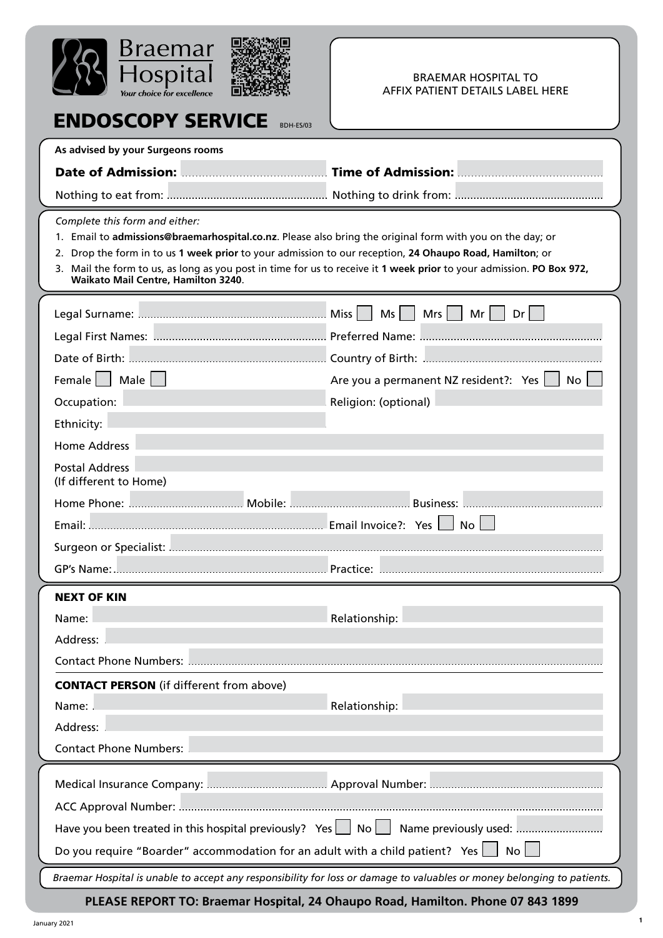

ENDOSCOPY SERVICE

#### BRAEMAR HOSPITAL TO AFFIX PATIENT DETAILS LABEL HERE

**1**

| BDH-ES/U3                                                                                                                                                                                                                                                                                                                                                                                                             |                                                                                                                         |
|-----------------------------------------------------------------------------------------------------------------------------------------------------------------------------------------------------------------------------------------------------------------------------------------------------------------------------------------------------------------------------------------------------------------------|-------------------------------------------------------------------------------------------------------------------------|
| As advised by your Surgeons rooms                                                                                                                                                                                                                                                                                                                                                                                     |                                                                                                                         |
|                                                                                                                                                                                                                                                                                                                                                                                                                       | Date of Admission: <b>Material Acids</b> Time of Admission: <b>Material Acids</b> 2014                                  |
|                                                                                                                                                                                                                                                                                                                                                                                                                       |                                                                                                                         |
| Complete this form and either:<br>1. Email to admissions@braemarhospital.co.nz. Please also bring the original form with you on the day; or<br>2. Drop the form in to us 1 week prior to your admission to our reception, 24 Ohaupo Road, Hamilton; or<br>3. Mail the form to us, as long as you post in time for us to receive it 1 week prior to your admission. PO Box 972,<br>Waikato Mail Centre, Hamilton 3240. |                                                                                                                         |
|                                                                                                                                                                                                                                                                                                                                                                                                                       | Ms<br>Mrs $  \  $<br>Mr<br>Dr <sub>1</sub>                                                                              |
|                                                                                                                                                                                                                                                                                                                                                                                                                       |                                                                                                                         |
|                                                                                                                                                                                                                                                                                                                                                                                                                       |                                                                                                                         |
| Female     Male                                                                                                                                                                                                                                                                                                                                                                                                       | Are you a permanent NZ resident?: Yes<br><b>No</b>                                                                      |
| Occupation: <b>Manual According to the Contract of Contract Occupation:</b> (optional)                                                                                                                                                                                                                                                                                                                                |                                                                                                                         |
|                                                                                                                                                                                                                                                                                                                                                                                                                       |                                                                                                                         |
| <b>Home Address</b>                                                                                                                                                                                                                                                                                                                                                                                                   |                                                                                                                         |
| Postal Address<br>(If different to Home)                                                                                                                                                                                                                                                                                                                                                                              |                                                                                                                         |
| Mobile:<br>Home Phone:                                                                                                                                                                                                                                                                                                                                                                                                | <b>Business:</b>                                                                                                        |
| $Email:$ .                                                                                                                                                                                                                                                                                                                                                                                                            | <b>No</b>                                                                                                               |
|                                                                                                                                                                                                                                                                                                                                                                                                                       |                                                                                                                         |
|                                                                                                                                                                                                                                                                                                                                                                                                                       |                                                                                                                         |
| <b>NEXT OF KIN</b>                                                                                                                                                                                                                                                                                                                                                                                                    |                                                                                                                         |
| Name:                                                                                                                                                                                                                                                                                                                                                                                                                 | Relationship:                                                                                                           |
| Address:                                                                                                                                                                                                                                                                                                                                                                                                              |                                                                                                                         |
| <b>Contact Phone Numbers: </b>                                                                                                                                                                                                                                                                                                                                                                                        |                                                                                                                         |
| <b>CONTACT PERSON</b> (if different from above)<br>Address:                                                                                                                                                                                                                                                                                                                                                           |                                                                                                                         |
| <b>Contact Phone Numbers:</b>                                                                                                                                                                                                                                                                                                                                                                                         |                                                                                                                         |
|                                                                                                                                                                                                                                                                                                                                                                                                                       |                                                                                                                         |
|                                                                                                                                                                                                                                                                                                                                                                                                                       |                                                                                                                         |
| Have you been treated in this hospital previously? Yes   No   Name previously used:                                                                                                                                                                                                                                                                                                                                   |                                                                                                                         |
| Do you require "Boarder" accommodation for an adult with a child patient? Yes                                                                                                                                                                                                                                                                                                                                         | No                                                                                                                      |
|                                                                                                                                                                                                                                                                                                                                                                                                                       | Braemar Hospital is unable to accept any responsibility for loss or damage to valuables or money belonging to patients. |
|                                                                                                                                                                                                                                                                                                                                                                                                                       | PLEASE REPORT TO: Braemar Hospital, 24 Ohaupo Road, Hamilton. Phone 07 843 1899                                         |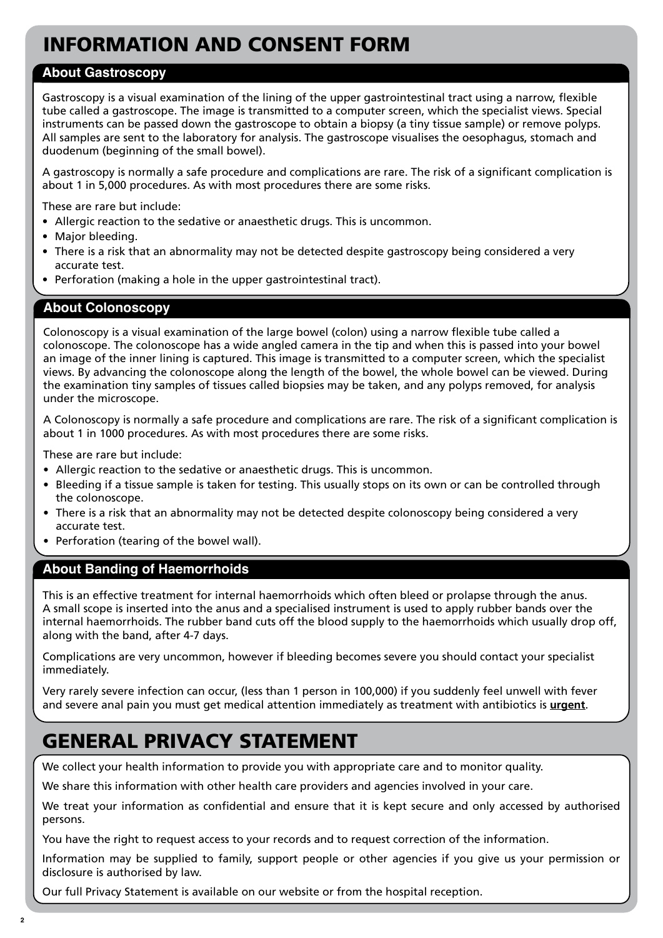# INFORMATION AND CONSENT FORM

### **About Gastroscopy**

Gastroscopy is a visual examination of the lining of the upper gastrointestinal tract using a narrow, flexible tube called a gastroscope. The image is transmitted to a computer screen, which the specialist views. Special instruments can be passed down the gastroscope to obtain a biopsy (a tiny tissue sample) or remove polyps. All samples are sent to the laboratory for analysis. The gastroscope visualises the oesophagus, stomach and duodenum (beginning of the small bowel).

A gastroscopy is normally a safe procedure and complications are rare. The risk of a significant complication is about 1 in 5,000 procedures. As with most procedures there are some risks.

These are rare but include:

- Allergic reaction to the sedative or anaesthetic drugs. This is uncommon.
- Major bleeding.
- There is a risk that an abnormality may not be detected despite gastroscopy being considered a very accurate test.
- Perforation (making a hole in the upper gastrointestinal tract).

### **About Colonoscopy**

Colonoscopy is a visual examination of the large bowel (colon) using a narrow flexible tube called a colonoscope. The colonoscope has a wide angled camera in the tip and when this is passed into your bowel an image of the inner lining is captured. This image is transmitted to a computer screen, which the specialist views. By advancing the colonoscope along the length of the bowel, the whole bowel can be viewed. During the examination tiny samples of tissues called biopsies may be taken, and any polyps removed, for analysis under the microscope.

A Colonoscopy is normally a safe procedure and complications are rare. The risk of a significant complication is about 1 in 1000 procedures. As with most procedures there are some risks.

These are rare but include:

- Allergic reaction to the sedative or anaesthetic drugs. This is uncommon.
- Bleeding if a tissue sample is taken for testing. This usually stops on its own or can be controlled through the colonoscope.
- There is a risk that an abnormality may not be detected despite colonoscopy being considered a very accurate test.
- Perforation (tearing of the bowel wall).

### **About Banding of Haemorrhoids**

This is an effective treatment for internal haemorrhoids which often bleed or prolapse through the anus. A small scope is inserted into the anus and a specialised instrument is used to apply rubber bands over the internal haemorrhoids. The rubber band cuts off the blood supply to the haemorrhoids which usually drop off, along with the band, after 4-7 days.

Complications are very uncommon, however if bleeding becomes severe you should contact your specialist immediately.

Very rarely severe infection can occur, (less than 1 person in 100,000) if you suddenly feel unwell with fever and severe anal pain you must get medical attention immediately as treatment with antibiotics is **urgent**.

# GENERAL PRIVACY STATEMENT

We collect your health information to provide you with appropriate care and to monitor quality.

We share this information with other health care providers and agencies involved in your care.

We treat your information as confidential and ensure that it is kept secure and only accessed by authorised persons.

You have the right to request access to your records and to request correction of the information.

Information may be supplied to family, support people or other agencies if you give us your permission or disclosure is authorised by law.

Our full Privacy Statement is available on our website or from the hospital reception.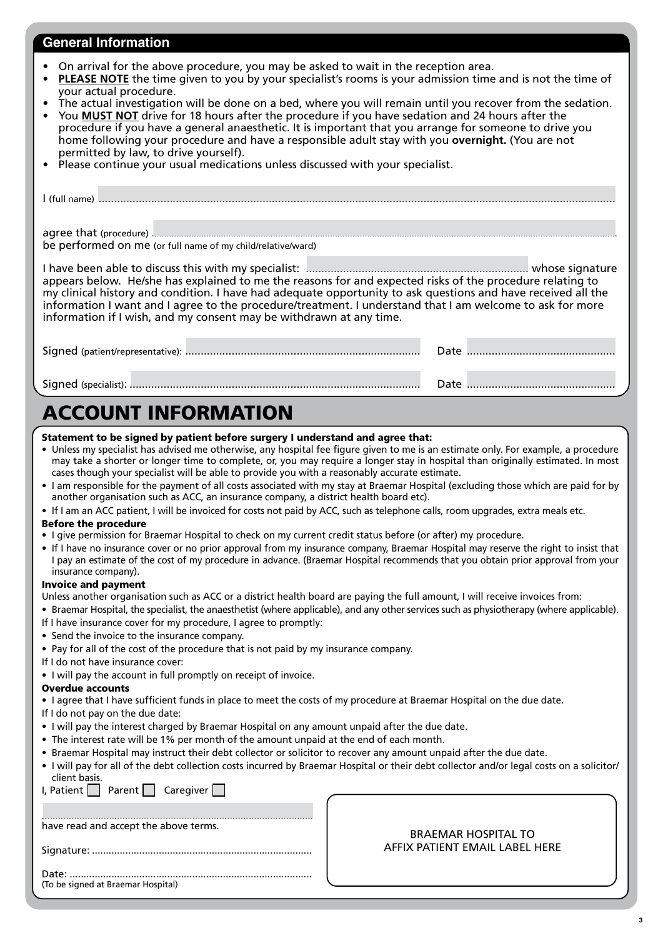### **General Information**

- On arrival for the above procedure, you may be asked to wait in the reception area.
- **• PLEASE NOTE** the time given to you by your specialist's rooms is your admission time and is not the time of your actual procedure.
- The actual investigation will be done on a bed, where you will remain until you recover from the sedation.
- You **MUST NOT** drive for 18 hours after the procedure if you have sedation and 24 hours after the procedure if you have a general anaesthetic. It is important that you arrange for someone to drive you home following your procedure and have a responsible adult stay with you **overnight.** (You are not permitted by law, to drive yourself).
- Please continue your usual medications unless discussed with your specialist.

| be performed on me (or full name of my child/relative/ward)                                                                                                                                                                                                                                                                                                                                                    |  |
|----------------------------------------------------------------------------------------------------------------------------------------------------------------------------------------------------------------------------------------------------------------------------------------------------------------------------------------------------------------------------------------------------------------|--|
| appears below. He/she has explained to me the reasons for and expected risks of the procedure relating to<br>my clinical history and condition. I have had adequate opportunity to ask questions and have received all the<br>information I want and I agree to the procedure/treatment. I understand that I am welcome to ask for more<br>information if I wish, and my consent may be withdrawn at any time. |  |
|                                                                                                                                                                                                                                                                                                                                                                                                                |  |
|                                                                                                                                                                                                                                                                                                                                                                                                                |  |

# ACCOUNT INFORMATION

#### Statement to be signed by patient before surgery I understand and agree that:

- Unless my specialist has advised me otherwise, any hospital fee figure given to me is an estimate only. For example, a procedure may take a shorter or longer time to complete, or, you may require a longer stay in hospital than originally estimated. In most cases though your specialist will be able to provide you with a reasonably accurate estimate.
- I am responsible for the payment of all costs associated with my stay at Braemar Hospital (excluding those which are paid for by another organisation such as ACC, an insurance company, a district health board etc).
- If I am an ACC patient, I will be invoiced for costs not paid by ACC, such as telephone calls, room upgrades, extra meals etc.

#### Before the procedure

- I give permission for Braemar Hospital to check on my current credit status before (or after) my procedure.
- If I have no insurance cover or no prior approval from my insurance company, Braemar Hospital may reserve the right to insist that I pay an estimate of the cost of my procedure in advance. (Braemar Hospital recommends that you obtain prior approval from your insurance company).

#### Invoice and payment

Unless another organisation such as ACC or a district health board are paying the full amount, I will receive invoices from:

- Braemar Hospital, the specialist, the anaesthetist (where applicable), and any other services such as physiotherapy (where applicable).
- If I have insurance cover for my procedure, I agree to promptly:
- Send the invoice to the insurance company.
- Pay for all of the cost of the procedure that is not paid by my insurance company.

#### If I do not have insurance cover:

• I will pay the account in full promptly on receipt of invoice.

#### Overdue accounts

- I agree that I have sufficient funds in place to meet the costs of my procedure at Braemar Hospital on the due date.
- If I do not pay on the due date:
- I will pay the interest charged by Braemar Hospital on any amount unpaid after the due date.
- The interest rate will be 1% per month of the amount unpaid at the end of each month.
- Braemar Hospital may instruct their debt collector or solicitor to recover any amount unpaid after the due date.
- I will pay for all of the debt collection costs incurred by Braemar Hospital or their debt collector and/or legal costs on a solicitor/ client basis.

 $\Gamma$ 

| have read and accept the above terms. |
|---------------------------------------|
|                                       |

I, Patient  $\vert \vert$  Parent  $\vert \vert$  Caregiver  $\vert \vert$ 

#### BRAEMAR HOSPITAL TO AFFIX PATIENT EMAIL LABEL HERE

Date: ....................................................................................... (To be signed at Braemar Hospital)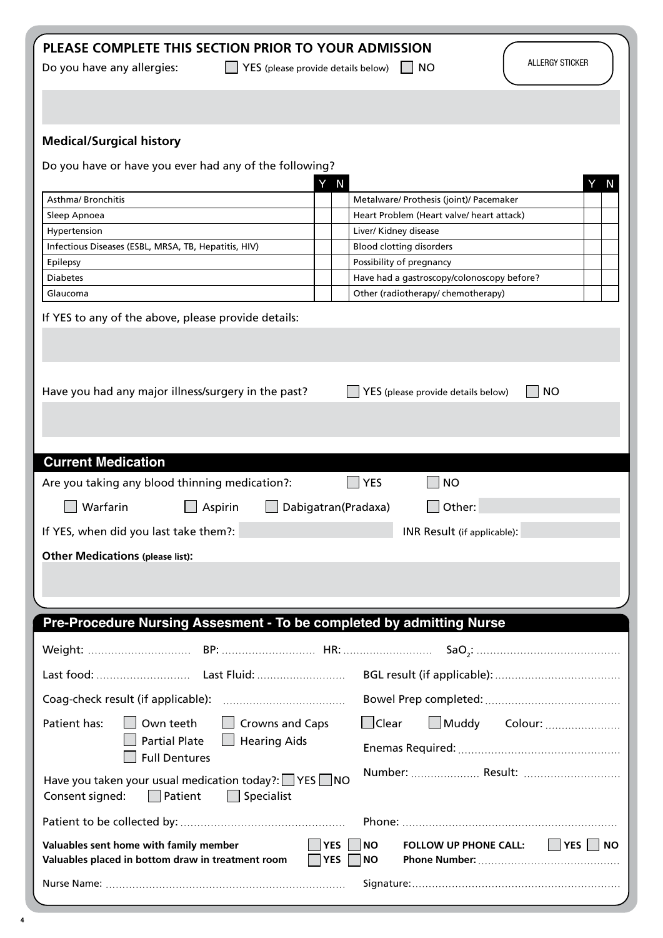|  |  | PLEASE COMPLETE THIS SECTION PRIOR TO YOUR ADMISSION |
|--|--|------------------------------------------------------|
|--|--|------------------------------------------------------|

Do you have any allergies: <br>  $\Box$  YES (please provide details below)  $\Box$  NO

# **Medical/Surgical history**

| Do you have or have you ever had any of the following?                                                               |                                                                                                      |
|----------------------------------------------------------------------------------------------------------------------|------------------------------------------------------------------------------------------------------|
|                                                                                                                      | Y N<br>N                                                                                             |
| Asthma/ Bronchitis                                                                                                   | Metalware/ Prothesis (joint)/ Pacemaker                                                              |
| Sleep Apnoea<br>Hypertension                                                                                         | Heart Problem (Heart valve/ heart attack)<br>Liver/ Kidney disease                                   |
| Infectious Diseases (ESBL, MRSA, TB, Hepatitis, HIV)                                                                 | <b>Blood clotting disorders</b>                                                                      |
| Epilepsy                                                                                                             | Possibility of pregnancy                                                                             |
| <b>Diabetes</b>                                                                                                      | Have had a gastroscopy/colonoscopy before?                                                           |
| Glaucoma                                                                                                             | Other (radiotherapy/ chemotherapy)                                                                   |
| If YES to any of the above, please provide details:                                                                  |                                                                                                      |
| Have you had any major illness/surgery in the past?                                                                  | <b>NO</b><br>YES (please provide details below)                                                      |
|                                                                                                                      |                                                                                                      |
| <b>Current Medication</b>                                                                                            |                                                                                                      |
| Are you taking any blood thinning medication?:                                                                       | <b>YES</b><br><b>NO</b>                                                                              |
| Warfarin<br>Aspirin                                                                                                  | Dabigatran(Pradaxa)<br>Other:                                                                        |
| If YES, when did you last take them?:                                                                                | INR Result (if applicable):                                                                          |
| <b>Other Medications (please list):</b>                                                                              |                                                                                                      |
|                                                                                                                      |                                                                                                      |
|                                                                                                                      |                                                                                                      |
| Pre-Procedure Nursing Assesment - To be completed by admitting Nurse                                                 |                                                                                                      |
|                                                                                                                      |                                                                                                      |
|                                                                                                                      |                                                                                                      |
| Coag-check result (if applicable):                                                                                   |                                                                                                      |
| Patient has:<br>Own teeth<br>Crowns and Caps                                                                         | $\Box$ Clear<br>$\Box$ Muddy<br>Colour:                                                              |
| <b>Partial Plate</b><br><b>Hearing Aids</b><br><b>Full Dentures</b>                                                  |                                                                                                      |
| Have you taken your usual medication today?: $\Box$ YES $\Box$ NO<br>$\Box$ Specialist<br>Consent signed:<br>Patient |                                                                                                      |
|                                                                                                                      |                                                                                                      |
| Valuables sent home with family member<br>Valuables placed in bottom draw in treatment room                          | $\Box$ YES $\Box$ NO<br> YES<br><b>NO</b><br><b>FOLLOW UP PHONE CALL:</b><br><b>NO</b><br><b>YES</b> |
|                                                                                                                      |                                                                                                      |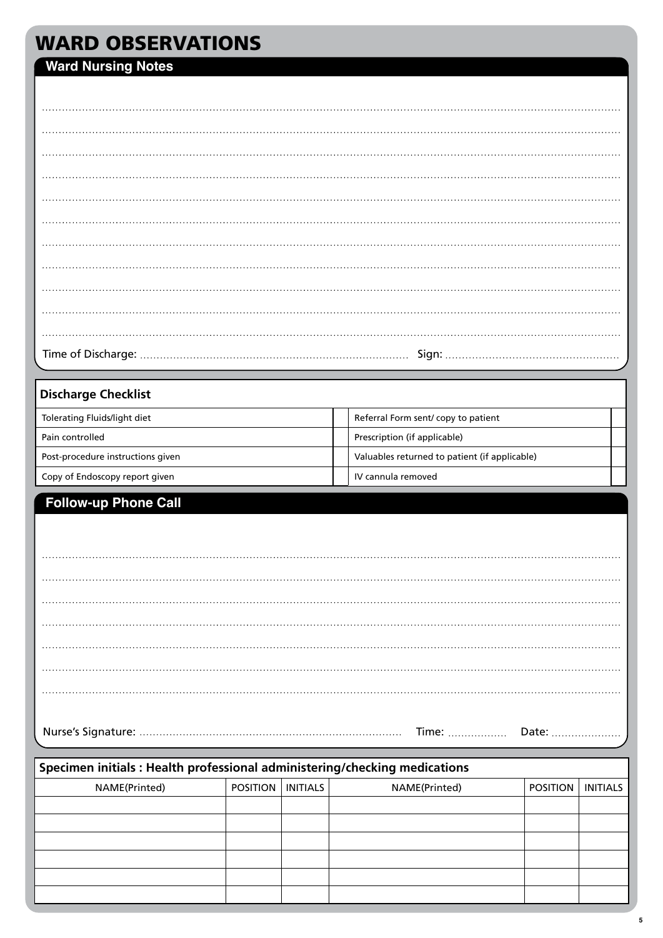# WARD OBSERVATIONS

# **Ward Nursing Notes**

## **Discharge Checklist**

| Tolerating Fluids/light diet      | Referral Form sent/copy to patient            |  |
|-----------------------------------|-----------------------------------------------|--|
| Pain controlled                   | Prescription (if applicable)                  |  |
| Post-procedure instructions given | Valuables returned to patient (if applicable) |  |
| Copy of Endoscopy report given    | IV cannula removed                            |  |

# **Follow-up Phone Call**

| Specimen initials: Health professional administering/checking medications |                              |  |               |                 |                 |  |  |  |  |  |  |  |
|---------------------------------------------------------------------------|------------------------------|--|---------------|-----------------|-----------------|--|--|--|--|--|--|--|
| NAME(Printed)                                                             | <b>POSITION   INITIALS  </b> |  | NAME(Printed) | <b>POSITION</b> | <b>INITIALS</b> |  |  |  |  |  |  |  |
|                                                                           |                              |  |               |                 |                 |  |  |  |  |  |  |  |
|                                                                           |                              |  |               |                 |                 |  |  |  |  |  |  |  |
|                                                                           |                              |  |               |                 |                 |  |  |  |  |  |  |  |
|                                                                           |                              |  |               |                 |                 |  |  |  |  |  |  |  |
|                                                                           |                              |  |               |                 |                 |  |  |  |  |  |  |  |
|                                                                           |                              |  |               |                 |                 |  |  |  |  |  |  |  |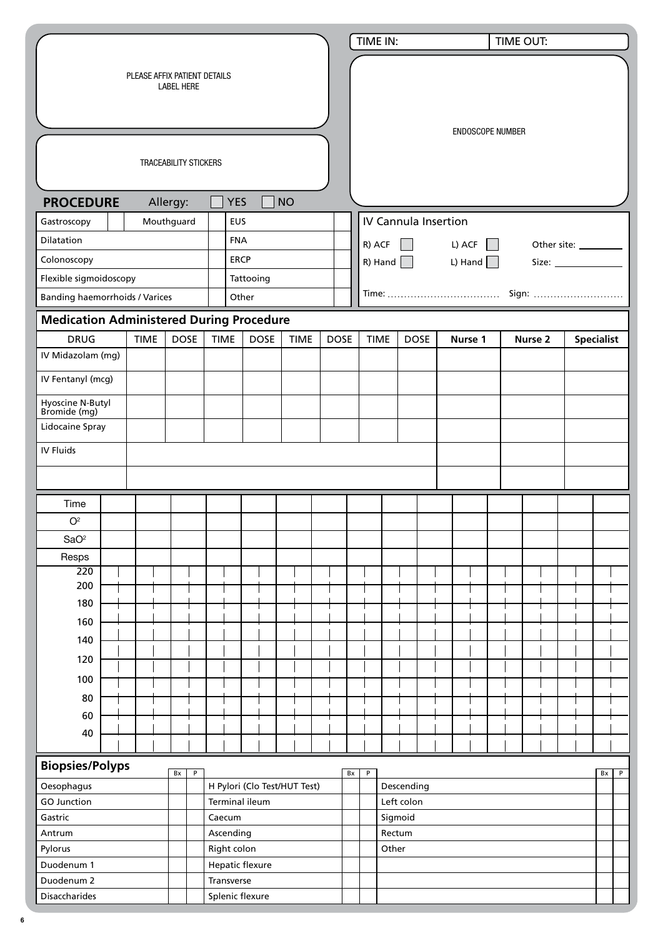|                                                   |             |  |             |                |                 |             |                                                |           |             |             |    |             | TIME IN:                 |                             |                |         | TIME OUT:        |  |                    |  |  |                   |              |
|---------------------------------------------------|-------------|--|-------------|----------------|-----------------|-------------|------------------------------------------------|-----------|-------------|-------------|----|-------------|--------------------------|-----------------------------|----------------|---------|------------------|--|--------------------|--|--|-------------------|--------------|
| PLEASE AFFIX PATIENT DETAILS<br><b>LABEL HERE</b> |             |  |             |                |                 |             |                                                |           |             |             |    |             |                          |                             |                |         |                  |  |                    |  |  |                   |              |
| <b>TRACEABILITY STICKERS</b>                      |             |  |             |                |                 |             |                                                |           |             |             |    |             |                          |                             |                |         | ENDOSCOPE NUMBER |  |                    |  |  |                   |              |
|                                                   |             |  |             |                |                 |             |                                                |           |             |             |    |             |                          |                             |                |         |                  |  |                    |  |  |                   |              |
| <b>PROCEDURE</b>                                  |             |  | Allergy:    |                |                 | <b>YES</b>  |                                                | <b>NO</b> |             |             |    |             |                          |                             |                |         |                  |  |                    |  |  |                   |              |
| Mouthguard<br>EUS<br>Gastroscopy                  |             |  |             |                |                 |             |                                                |           |             |             |    |             |                          | <b>IV Cannula Insertion</b> |                |         |                  |  |                    |  |  |                   |              |
| Dilatation                                        |             |  |             |                |                 | <b>FNA</b>  |                                                |           |             |             |    | R) ACF      |                          |                             | L) ACF         |         |                  |  |                    |  |  |                   |              |
| Colonoscopy                                       |             |  |             |                |                 | <b>ERCP</b> |                                                |           |             |             |    |             |                          | R) Hand $\Box$              | L) Hand $\Box$ |         |                  |  | Size: $\_\_$       |  |  |                   |              |
| Flexible sigmoidoscopy                            |             |  |             |                |                 |             | Tattooing                                      |           |             |             |    |             |                          |                             |                |         |                  |  |                    |  |  |                   |              |
| <b>Banding haemorrhoids / Varices</b>             |             |  |             |                |                 | Other       |                                                |           |             |             |    |             |                          |                             |                |         |                  |  | Sign:              |  |  |                   |              |
| <b>Medication Administered During Procedure</b>   |             |  |             |                |                 |             |                                                |           |             |             |    |             |                          |                             |                |         |                  |  |                    |  |  |                   |              |
| <b>DRUG</b>                                       | <b>TIME</b> |  | <b>DOSE</b> |                | <b>TIME</b>     |             | <b>DOSE</b>                                    |           | <b>TIME</b> | <b>DOSE</b> |    | <b>TIME</b> |                          | <b>DOSE</b>                 |                | Nurse 1 |                  |  | Nurse <sub>2</sub> |  |  | <b>Specialist</b> |              |
| IV Midazolam (mg)                                 |             |  |             |                |                 |             |                                                |           |             |             |    |             |                          |                             |                |         |                  |  |                    |  |  |                   |              |
| IV Fentanyl (mcg)                                 |             |  |             |                |                 |             |                                                |           |             |             |    |             |                          |                             |                |         |                  |  |                    |  |  |                   |              |
| Hyoscine N-Butyl<br>Bromide (mg)                  |             |  |             |                |                 |             |                                                |           |             |             |    |             |                          |                             |                |         |                  |  |                    |  |  |                   |              |
| Lidocaine Spray                                   |             |  |             |                |                 |             |                                                |           |             |             |    |             |                          |                             |                |         |                  |  |                    |  |  |                   |              |
| IV Fluids                                         |             |  |             |                |                 |             |                                                |           |             |             |    |             |                          |                             |                |         |                  |  |                    |  |  |                   |              |
|                                                   |             |  |             |                |                 |             |                                                |           |             |             |    |             |                          |                             |                |         |                  |  |                    |  |  |                   |              |
| Time                                              |             |  |             |                |                 |             |                                                |           |             |             |    |             |                          |                             |                |         |                  |  |                    |  |  |                   |              |
| O <sup>2</sup>                                    |             |  |             |                |                 |             |                                                |           |             |             |    |             |                          |                             |                |         |                  |  |                    |  |  |                   |              |
| SaO <sup>2</sup>                                  |             |  |             |                |                 |             |                                                |           |             |             |    |             |                          |                             |                |         |                  |  |                    |  |  |                   |              |
| Resps                                             |             |  |             |                |                 |             |                                                |           |             |             |    |             |                          |                             |                |         |                  |  |                    |  |  |                   |              |
| 220                                               |             |  |             |                |                 |             |                                                |           |             |             |    |             |                          |                             |                |         |                  |  |                    |  |  |                   |              |
| 200                                               |             |  |             |                |                 |             |                                                |           |             |             |    |             |                          |                             |                |         |                  |  |                    |  |  |                   |              |
| 180                                               |             |  |             |                |                 |             |                                                |           |             |             |    |             |                          |                             |                |         |                  |  |                    |  |  |                   |              |
| 160                                               |             |  |             |                |                 |             |                                                |           |             |             |    |             |                          |                             |                |         |                  |  |                    |  |  |                   |              |
| 140                                               |             |  |             |                |                 |             |                                                |           |             |             |    |             |                          |                             |                |         |                  |  |                    |  |  |                   |              |
| 120                                               |             |  |             |                |                 |             |                                                |           |             |             |    |             |                          |                             |                |         |                  |  |                    |  |  |                   |              |
| 100                                               |             |  |             |                |                 |             |                                                |           |             |             |    |             |                          |                             |                |         |                  |  |                    |  |  |                   |              |
| 80                                                |             |  |             |                |                 |             |                                                |           |             |             |    |             |                          |                             |                |         |                  |  |                    |  |  |                   |              |
| 60                                                |             |  |             |                |                 |             |                                                |           |             |             |    |             |                          |                             |                |         |                  |  |                    |  |  |                   |              |
| 40                                                |             |  |             |                |                 |             |                                                |           |             |             |    |             |                          |                             |                |         |                  |  |                    |  |  |                   |              |
|                                                   |             |  |             |                |                 |             |                                                |           |             |             |    |             |                          |                             |                |         |                  |  |                    |  |  |                   |              |
| <b>Biopsies/Polyps</b>                            |             |  | Bx          | $\overline{P}$ |                 |             |                                                |           |             |             | Bx | P           |                          |                             |                |         |                  |  |                    |  |  | Bx                | $\, {\sf P}$ |
| Oesophagus<br><b>GO Junction</b>                  |             |  |             |                |                 |             | H Pylori (Clo Test/HUT Test)<br>Terminal ileum |           |             |             |    |             | Descending<br>Left colon |                             |                |         |                  |  |                    |  |  |                   |              |
| Gastric                                           |             |  |             |                | Caecum          |             |                                                |           |             |             |    |             | Sigmoid                  |                             |                |         |                  |  |                    |  |  |                   |              |
| Antrum                                            |             |  |             |                | Ascending       |             |                                                |           |             |             |    |             | Rectum                   |                             |                |         |                  |  |                    |  |  |                   |              |
| Pylorus                                           |             |  |             |                | Right colon     |             |                                                |           |             |             |    |             | Other                    |                             |                |         |                  |  |                    |  |  |                   |              |
| Duodenum 1                                        |             |  |             |                |                 |             | Hepatic flexure                                |           |             |             |    |             |                          |                             |                |         |                  |  |                    |  |  |                   |              |
| Duodenum 2                                        |             |  |             |                | Transverse      |             |                                                |           |             |             |    |             |                          |                             |                |         |                  |  |                    |  |  |                   |              |
| <b>Disaccharides</b>                              |             |  |             |                | Splenic flexure |             |                                                |           |             |             |    |             |                          |                             |                |         |                  |  |                    |  |  |                   |              |